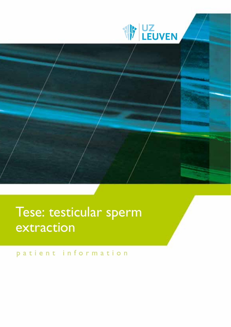



# Tese: testicular sperm extraction

patient information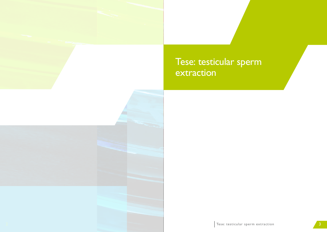# Tese: testicular sperm extraction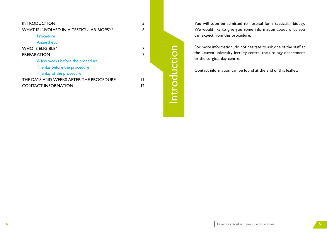| <b>INTRODUCTION</b>                      | 5  |  |
|------------------------------------------|----|--|
| WHAT IS INVOLVED IN A TESTICULAR BIOPSY? | 6  |  |
| Procedure                                |    |  |
| Anaesthetic                              |    |  |
| <b>WHO IS ELIGIBLE?</b>                  |    |  |
| <b>PREPARATION</b>                       |    |  |
| A few weeks before the procedure         |    |  |
| The day before the procedure             |    |  |
| The day of the procedure                 |    |  |
| THE DAYS AND WEEKS AFTER THE PROCEDURE   | Н  |  |
| <b>CONTACT INFORMATION</b>               | 12 |  |
|                                          |    |  |

You will soon be admitted to hospital for a testicular biopsy. We would like to give you some information about what you can expect from this procedure.

For more information, do not hesitate to ask one of the staff at the Leuven university fertility centre, the urology department or the surgical day centre.

Contact information can be found at the end of this leaflet.

Introduction Introduction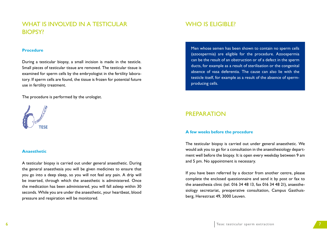## WHAT IS INVOLVED IN A TESTICULAR biopsy?

#### **Procedure**

During a testicular biopsy, a small incision is made in the testicle. Small pieces of testicular tissue are removed. The testicular tissue is examined for sperm cells by the embryologist in the fertility laboratory. If sperm cells are found, the tissue is frozen for potential future use in fertility treatment.

The procedure is performed by the urologist.



#### **Anaesthetic**

A testicular biopsy is carried out under general anaesthetic. During the general anaesthesia you will be given medicines to ensure that you go into a deep sleep, so you will not feel any pain. A drip will be inserted, through which the anaesthetic is administered. Once the medication has been administered, you will fall asleep within 30 seconds. While you are under the anaesthetic, your heartbeat, blood pressure and respiration will be monitored.

## WHO IS ELIGIBLE?

Men whose semen has been shown to contain no sperm cells (azoospermia) are eligible for the procedure. Azoospermia can be the result of an obstruction or of a defect in the sperm ducts, for example as a result of sterilisation or the congenital absence of vasa deferentia. The cause can also lie with the testicle itself, for example as a result of the absence of spermproducing cells.

## PREPARATION

#### **A few weeks before the procedure**

The testicular biopsy is carried out under general anaesthetic. We would ask you to go for a consultation in the anaesthesiology department well before the biopsy. It is open every weekday between 9 am and 5 pm. No appointment is necessary.

If you have been referred by a doctor from another centre, please complete the enclosed questionnaire and send it by post or fax to the anaesthesia clinic (tel. 016 34 48 13, fax 016 34 48 21), anaesthesiology secretariat, preoperative consultation, Campus Gasthuisberg, Herestraat 49, 3000 Leuven.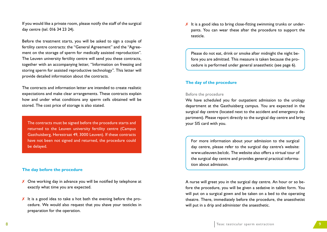If you would like a private room, please notify the staff of the surgical day centre (tel. 016 34 23 24).

Before the treatment starts, you will be asked to sign a couple of fertility centre contracts: the "General Agreement" and the "Agreement on the storage of sperm for medically assisted reproduction". The Leuven university fertility centre will send you these contracts, together with an accompanying letter, "Information on freezing and storing sperm for assisted reproductive technology". This letter will provide detailed information about the contracts.

The contracts and information letter are intended to create realistic expectations and make clear arrangements. These contracts explain how and under what conditions any sperm cells obtained will be stored. The cost price of storage is also stated.

The contracts must be signed before the procedure starts and returned to the Leuven university fertility centre (Campus Gasthuisberg, Herestraat 49, 3000 Leuven). If these contracts have not been not signed and returned, the procedure could be delayed.

#### **The day before the procedure**

- X One working day in advance you will be notified by telephone at exactly what time you are expected.
- $\chi$  It is a good idea to take a hot bath the evening before the procedure. We would also request that you shave your testicles in preparation for the operation.

✗ It is a good idea to bring close-fitting swimming trunks or underpants. You can wear these after the procedure to support the testicle.

Please do not eat, drink or smoke after midnight the night before you are admitted. This measure is taken because the procedure is performed under general anaesthetic (see page 6).

#### **The day of the procedure**

#### Before the procedure

We have scheduled you for outpatient admission to the urology department at the Gasthuisberg campus. You are expected in the surgical day centre (located next to the accident and emergency department). Please report directly to the surgical day centre and bring your SIS card with you.

For more information about your admission to the surgical day centre, please refer to the surgical day centre's website: www.uzleuven.be/cdc. The website also offers a virtual tour of the surgical day centre and provides general practical information about admission.

A nurse will greet you in the surgical day centre. An hour or so before the procedure, you will be given a sedative in tablet form. You will put on a surgical gown and be taken on a bed to the operating theatre. There, immediately before the procedure, the anaesthetist will put in a drip and administer the anaesthetic.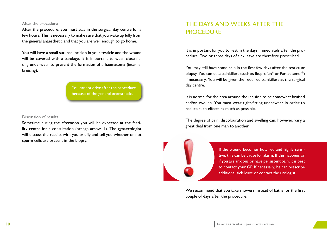#### After the procedure

After the procedure, you must stay in the surgical day centre for a few hours. This is necessary to make sure that you wake up fully from the general anaesthetic and that you are well enough to go home.

You will have a small sutured incision in your testicle and the wound will be covered with a bandage. It is important to wear close-fitting underwear to prevent the formation of a haematoma (internal bruising).

> You cannot drive after the procedure because of the general anaesthetic.

#### Discussion of results

Sometime during the afternoon you will be expected at the fertility centre for a consultation (orange arrow -1). The gynaecologist will discuss the results with you briefly and tell you whether or not sperm cells are present in the biopsy.

## The days and weeks after the **PROCEDURE**

It is important for you to rest in the days immediately after the procedure. Two or three days of sick leave are therefore prescribed.

You may still have some pain in the first few days after the testicular biopsy. You can take painkillers (such as Ibuprofen® or Paracetamol®) if necessary. You will be given the required painkillers at the surgical day centre.

It is normal for the area around the incision to be somewhat bruised and/or swollen. You must wear tight-fitting underwear in order to reduce such effects as much as possible.

The degree of pain, discolouration and swelling can, however, vary a great deal from one man to another.

> If the wound becomes hot, red and highly sensitive, this can be cause for alarm. If this happens or if you are anxious or have persistent pain, it is best to contact your GP. If necessary, he can prescribe additional sick leave or contact the urologist.

We recommend that you take showers instead of baths for the first couple of days after the procedure.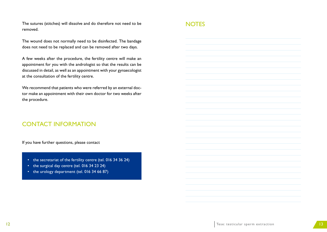The sutures (stitches) will dissolve and do therefore not need to be removed.

The wound does not normally need to be disinfected. The bandage does not need to be replaced and can be removed after two days.

A few weeks after the procedure, the fertility centre will make an appointment for you with the andrologist so that the results can be discussed in detail, as well as an appointment with your gynaecologist at the consultation of the fertility centre.

We recommend that patients who were referred by an external doctor make an appointment with their own doctor for two weeks after the procedure.

### Contact information

If you have further questions, please contact

- the secretariat of the fertility centre (tel. 016 34 36 24)
- the surgical day centre (tel. 016 34 23 24)
- the urology department (tel. 016 34 66 87)

### **NOTES**

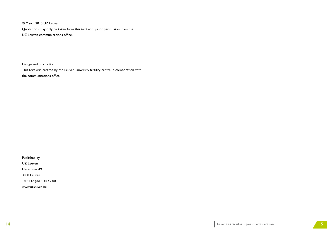© March 2010 UZ Leuven

Quotations may only be taken from this text with prior permission from the

UZ Leuven communications office.

Design and production:

This text was created by the Leuven university fertility centre in collaboration with the communications office.

Published by

UZ Leuven

Herestraat 49

3000 Leuven

Tel.: +32 (0)16 34 49 00

www.uzleuven.be